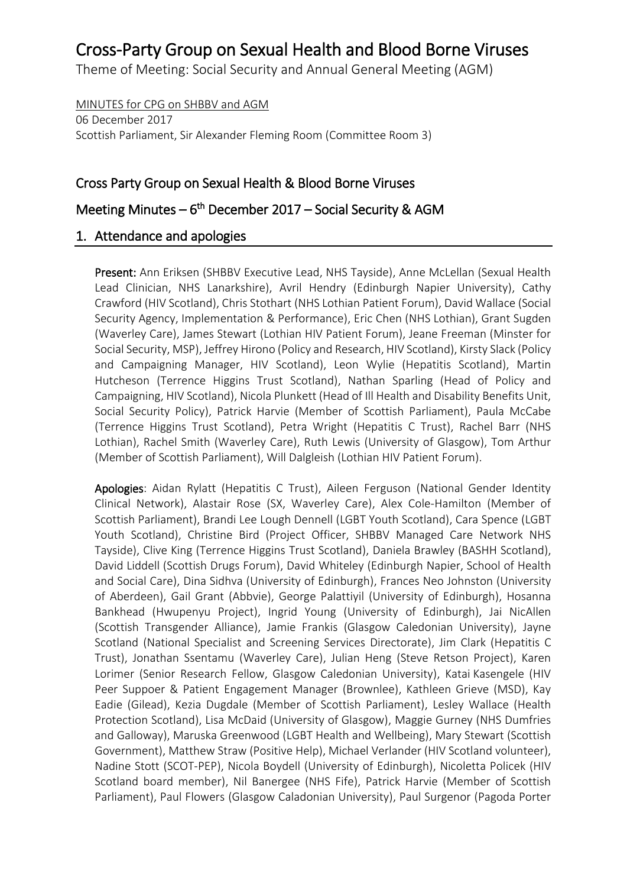Theme of Meeting: Social Security and Annual General Meeting (AGM)

MINUTES for CPG on SHBBV and AGM 06 December 2017 Scottish Parliament, Sir Alexander Fleming Room (Committee Room 3)

# Cross Party Group on Sexual Health & Blood Borne Viruses

# Meeting Minutes – 6<sup>th</sup> December 2017 – Social Security & AGM

### 1. Attendance and apologies

Present: Ann Eriksen (SHBBV Executive Lead, NHS Tayside), Anne McLellan (Sexual Health Lead Clinician, NHS Lanarkshire), Avril Hendry (Edinburgh Napier University), Cathy Crawford (HIV Scotland), Chris Stothart (NHS Lothian Patient Forum), David Wallace (Social Security Agency, Implementation & Performance), Eric Chen (NHS Lothian), Grant Sugden (Waverley Care), James Stewart (Lothian HIV Patient Forum), Jeane Freeman (Minster for Social Security, MSP), Jeffrey Hirono (Policy and Research, HIV Scotland), Kirsty Slack (Policy and Campaigning Manager, HIV Scotland), Leon Wylie (Hepatitis Scotland), Martin Hutcheson (Terrence Higgins Trust Scotland), Nathan Sparling (Head of Policy and Campaigning, HIV Scotland), Nicola Plunkett (Head of Ill Health and Disability Benefits Unit, Social Security Policy), Patrick Harvie (Member of Scottish Parliament), Paula McCabe (Terrence Higgins Trust Scotland), Petra Wright (Hepatitis C Trust), Rachel Barr (NHS Lothian), Rachel Smith (Waverley Care), Ruth Lewis (University of Glasgow), Tom Arthur (Member of Scottish Parliament), Will Dalgleish (Lothian HIV Patient Forum).

Apologies: Aidan Rylatt (Hepatitis C Trust), Aileen Ferguson (National Gender Identity Clinical Network), Alastair Rose (SX, Waverley Care), Alex Cole-Hamilton (Member of Scottish Parliament), Brandi Lee Lough Dennell (LGBT Youth Scotland), Cara Spence (LGBT Youth Scotland), Christine Bird (Project Officer, SHBBV Managed Care Network NHS Tayside), Clive King (Terrence Higgins Trust Scotland), Daniela Brawley (BASHH Scotland), David Liddell (Scottish Drugs Forum), David Whiteley (Edinburgh Napier, School of Health and Social Care), Dina Sidhva (University of Edinburgh), Frances Neo Johnston (University of Aberdeen), Gail Grant (Abbvie), George Palattiyil (University of Edinburgh), Hosanna Bankhead (Hwupenyu Project), Ingrid Young (University of Edinburgh), Jai NicAllen (Scottish Transgender Alliance), Jamie Frankis (Glasgow Caledonian University), Jayne Scotland (National Specialist and Screening Services Directorate), Jim Clark (Hepatitis C Trust), Jonathan Ssentamu (Waverley Care), Julian Heng (Steve Retson Project), Karen Lorimer (Senior Research Fellow, Glasgow Caledonian University), Katai Kasengele (HIV Peer Suppoer & Patient Engagement Manager (Brownlee), Kathleen Grieve (MSD), Kay Eadie (Gilead), Kezia Dugdale (Member of Scottish Parliament), Lesley Wallace (Health Protection Scotland), Lisa McDaid (University of Glasgow), Maggie Gurney (NHS Dumfries and Galloway), Maruska Greenwood (LGBT Health and Wellbeing), Mary Stewart (Scottish Government), Matthew Straw (Positive Help), Michael Verlander (HIV Scotland volunteer), Nadine Stott (SCOT-PEP), Nicola Boydell (University of Edinburgh), Nicoletta Policek (HIV Scotland board member), Nil Banergee (NHS Fife), Patrick Harvie (Member of Scottish Parliament), Paul Flowers (Glasgow Caladonian University), Paul Surgenor (Pagoda Porter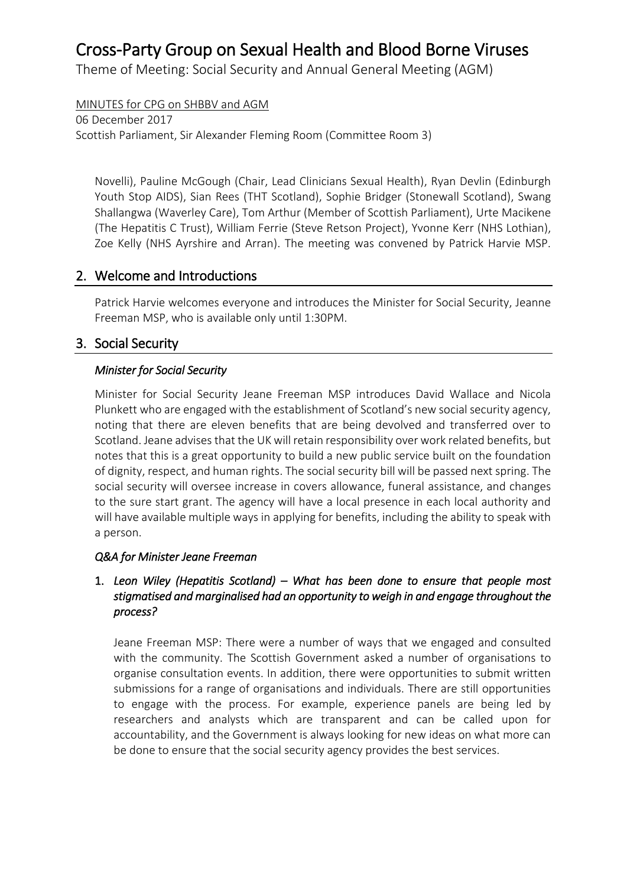Theme of Meeting: Social Security and Annual General Meeting (AGM)

MINUTES for CPG on SHBBV and AGM

06 December 2017 Scottish Parliament, Sir Alexander Fleming Room (Committee Room 3)

Novelli), Pauline McGough (Chair, Lead Clinicians Sexual Health), Ryan Devlin (Edinburgh Youth Stop AIDS), Sian Rees (THT Scotland), Sophie Bridger (Stonewall Scotland), Swang Shallangwa (Waverley Care), Tom Arthur (Member of Scottish Parliament), Urte Macikene (The Hepatitis C Trust), William Ferrie (Steve Retson Project), Yvonne Kerr (NHS Lothian), Zoe Kelly (NHS Ayrshire and Arran). The meeting was convened by Patrick Harvie MSP.

## 2. Welcome and Introductions

Patrick Harvie welcomes everyone and introduces the Minister for Social Security, Jeanne Freeman MSP, who is available only until 1:30PM.

## 3. Social Security

### *Minister for Social Security*

Minister for Social Security Jeane Freeman MSP introduces David Wallace and Nicola Plunkett who are engaged with the establishment of Scotland's new social security agency, noting that there are eleven benefits that are being devolved and transferred over to Scotland. Jeane advises that the UK will retain responsibility over work related benefits, but notes that this is a great opportunity to build a new public service built on the foundation of dignity, respect, and human rights. The social security bill will be passed next spring. The social security will oversee increase in covers allowance, funeral assistance, and changes to the sure start grant. The agency will have a local presence in each local authority and will have available multiple ways in applying for benefits, including the ability to speak with a person.

### *Q&A for Minister Jeane Freeman*

### 1. *Leon Wiley (Hepatitis Scotland) – What has been done to ensure that people most stigmatised and marginalised had an opportunity to weigh in and engage throughout the process?*

Jeane Freeman MSP: There were a number of ways that we engaged and consulted with the community. The Scottish Government asked a number of organisations to organise consultation events. In addition, there were opportunities to submit written submissions for a range of organisations and individuals. There are still opportunities to engage with the process. For example, experience panels are being led by researchers and analysts which are transparent and can be called upon for accountability, and the Government is always looking for new ideas on what more can be done to ensure that the social security agency provides the best services.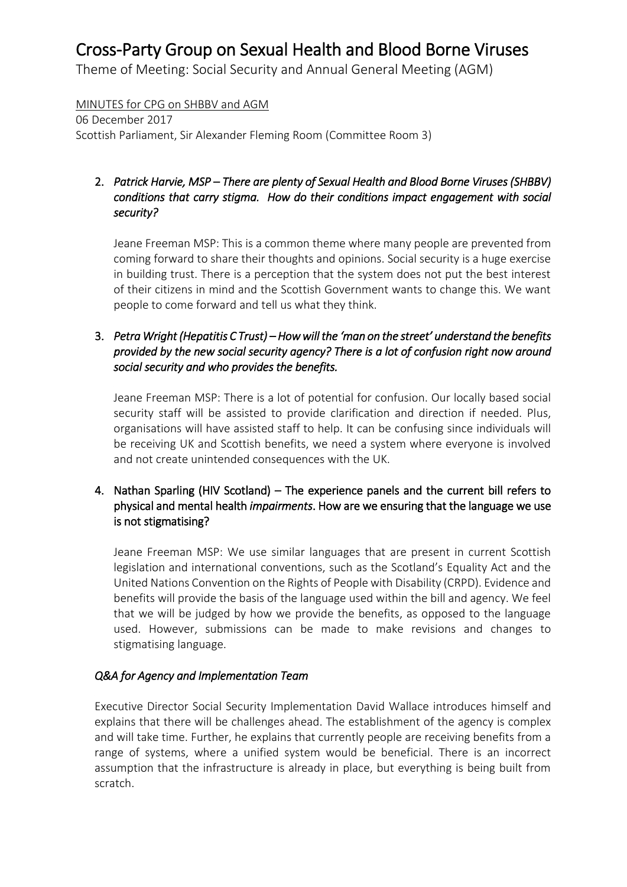Theme of Meeting: Social Security and Annual General Meeting (AGM)

### MINUTES for CPG on SHBBV and AGM

06 December 2017 Scottish Parliament, Sir Alexander Fleming Room (Committee Room 3)

## 2. *Patrick Harvie, MSP – There are plenty of Sexual Health and Blood Borne Viruses (SHBBV) conditions that carry stigma. How do their conditions impact engagement with social security?*

Jeane Freeman MSP: This is a common theme where many people are prevented from coming forward to share their thoughts and opinions. Social security is a huge exercise in building trust. There is a perception that the system does not put the best interest of their citizens in mind and the Scottish Government wants to change this. We want people to come forward and tell us what they think.

### 3. *Petra Wright (Hepatitis C Trust) – How will the 'man on the street' understand the benefits provided by the new social security agency? There is a lot of confusion right now around social security and who provides the benefits.*

Jeane Freeman MSP: There is a lot of potential for confusion. Our locally based social security staff will be assisted to provide clarification and direction if needed. Plus, organisations will have assisted staff to help. It can be confusing since individuals will be receiving UK and Scottish benefits, we need a system where everyone is involved and not create unintended consequences with the UK.

### 4. Nathan Sparling (HIV Scotland) – The experience panels and the current bill refers to physical and mental health *impairments*. How are we ensuring that the language we use is not stigmatising?

Jeane Freeman MSP: We use similar languages that are present in current Scottish legislation and international conventions, such as the Scotland's Equality Act and the United Nations Convention on the Rights of People with Disability (CRPD). Evidence and benefits will provide the basis of the language used within the bill and agency. We feel that we will be judged by how we provide the benefits, as opposed to the language used. However, submissions can be made to make revisions and changes to stigmatising language.

### *Q&A for Agency and Implementation Team*

Executive Director Social Security Implementation David Wallace introduces himself and explains that there will be challenges ahead. The establishment of the agency is complex and will take time. Further, he explains that currently people are receiving benefits from a range of systems, where a unified system would be beneficial. There is an incorrect assumption that the infrastructure is already in place, but everything is being built from scratch.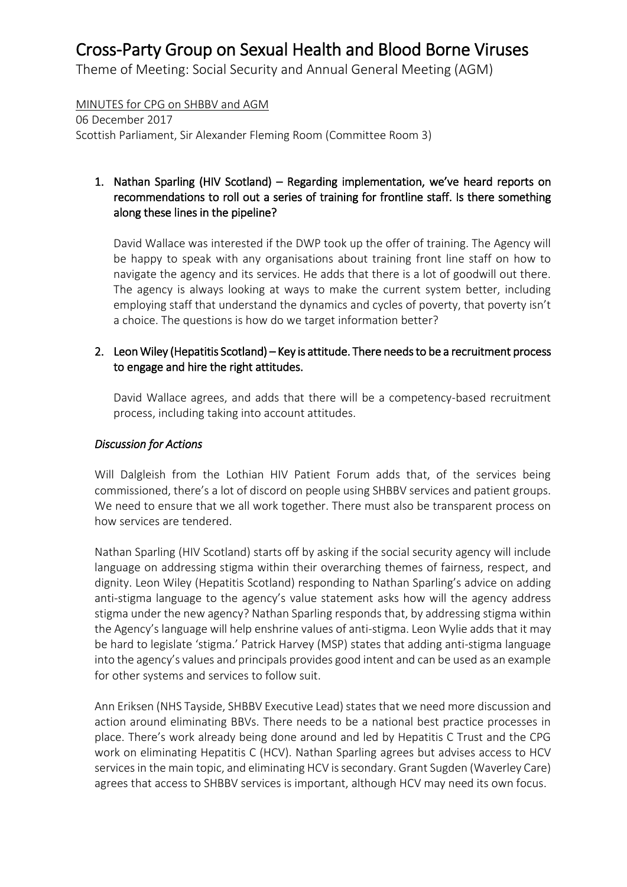Theme of Meeting: Social Security and Annual General Meeting (AGM)

#### MINUTES for CPG on SHBBV and AGM

06 December 2017 Scottish Parliament, Sir Alexander Fleming Room (Committee Room 3)

### 1. Nathan Sparling (HIV Scotland) – Regarding implementation, we've heard reports on recommendations to roll out a series of training for frontline staff. Is there something along these lines in the pipeline?

David Wallace was interested if the DWP took up the offer of training. The Agency will be happy to speak with any organisations about training front line staff on how to navigate the agency and its services. He adds that there is a lot of goodwill out there. The agency is always looking at ways to make the current system better, including employing staff that understand the dynamics and cycles of poverty, that poverty isn't a choice. The questions is how do we target information better?

### 2. Leon Wiley (Hepatitis Scotland) – Key is attitude. There needs to be a recruitment process to engage and hire the right attitudes.

David Wallace agrees, and adds that there will be a competency-based recruitment process, including taking into account attitudes.

#### *Discussion for Actions*

Will Dalgleish from the Lothian HIV Patient Forum adds that, of the services being commissioned, there's a lot of discord on people using SHBBV services and patient groups. We need to ensure that we all work together. There must also be transparent process on how services are tendered.

Nathan Sparling (HIV Scotland) starts off by asking if the social security agency will include language on addressing stigma within their overarching themes of fairness, respect, and dignity. Leon Wiley (Hepatitis Scotland) responding to Nathan Sparling's advice on adding anti-stigma language to the agency's value statement asks how will the agency address stigma under the new agency? Nathan Sparling responds that, by addressing stigma within the Agency's language will help enshrine values of anti-stigma. Leon Wylie adds that it may be hard to legislate 'stigma.' Patrick Harvey (MSP) states that adding anti-stigma language into the agency's values and principals provides good intent and can be used as an example for other systems and services to follow suit.

Ann Eriksen (NHS Tayside, SHBBV Executive Lead) states that we need more discussion and action around eliminating BBVs. There needs to be a national best practice processes in place. There's work already being done around and led by Hepatitis C Trust and the CPG work on eliminating Hepatitis C (HCV). Nathan Sparling agrees but advises access to HCV services in the main topic, and eliminating HCV is secondary. Grant Sugden (Waverley Care) agrees that access to SHBBV services is important, although HCV may need its own focus.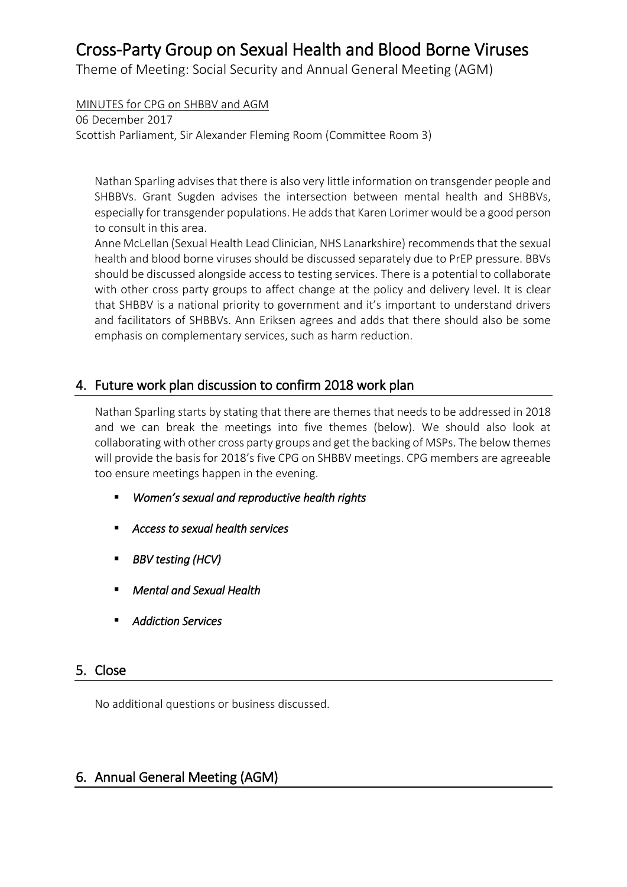Theme of Meeting: Social Security and Annual General Meeting (AGM)

MINUTES for CPG on SHBBV and AGM

06 December 2017 Scottish Parliament, Sir Alexander Fleming Room (Committee Room 3)

Nathan Sparling advises that there is also very little information on transgender people and SHBBVs. Grant Sugden advises the intersection between mental health and SHBBVs, especially for transgender populations. He adds that Karen Lorimer would be a good person to consult in this area.

Anne McLellan (Sexual Health Lead Clinician, NHS Lanarkshire) recommends that the sexual health and blood borne viruses should be discussed separately due to PrEP pressure. BBVs should be discussed alongside access to testing services. There is a potential to collaborate with other cross party groups to affect change at the policy and delivery level. It is clear that SHBBV is a national priority to government and it's important to understand drivers and facilitators of SHBBVs. Ann Eriksen agrees and adds that there should also be some emphasis on complementary services, such as harm reduction.

# 4. Future work plan discussion to confirm 2018 work plan

Nathan Sparling starts by stating that there are themes that needs to be addressed in 2018 and we can break the meetings into five themes (below). We should also look at collaborating with other cross party groups and get the backing of MSPs. The below themes will provide the basis for 2018's five CPG on SHBBV meetings. CPG members are agreeable too ensure meetings happen in the evening.

- *Women's sexual and reproductive health rights*
- *Access to sexual health services*
- *BBV testing (HCV)*
- *Mental and Sexual Health*
- *Addiction Services*

# 5. Close

No additional questions or business discussed.

# 6. Annual General Meeting (AGM)